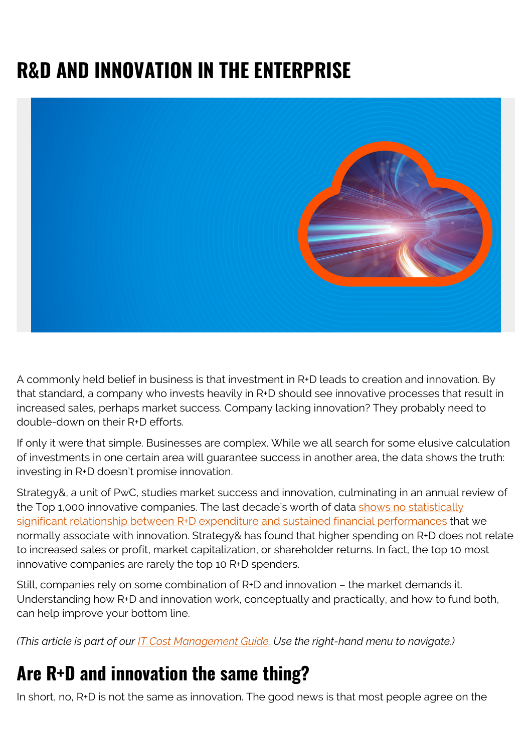# **R&D AND INNOVATION IN THE ENTERPRISE**



A commonly held belief in business is that investment in R+D leads to creation and innovation. By that standard, a company who invests heavily in R+D should see innovative processes that result in increased sales, perhaps market success. Company lacking innovation? They probably need to double-down on their R+D efforts.

If only it were that simple. Businesses are complex. While we all search for some elusive calculation of investments in one certain area will guarantee success in another area, the data shows the truth: investing in R+D doesn't promise innovation.

Strategy&, a unit of PwC, studies market success and innovation, culminating in an annual review of the Top 1,000 innovative companies. The last decade's worth of data [shows no statistically](https://www.forbes.com/sites/tendayiviki/2016/08/21/why-rd-spending-is-not-a-measure-of-innovation/#16e67925c77d) [significant relationship between R+D expenditure and sustained financial performances](https://www.forbes.com/sites/tendayiviki/2016/08/21/why-rd-spending-is-not-a-measure-of-innovation/#16e67925c77d) that we normally associate with innovation. Strategy& has found that higher spending on R+D does not relate to increased sales or profit, market capitalization, or shareholder returns. In fact, the top 10 most innovative companies are rarely the top 10 R+D spenders.

Still, companies rely on some combination of R+D and innovation – the market demands it. Understanding how R+D and innovation work, conceptually and practically, and how to fund both, can help improve your bottom line.

*(This article is part of our [IT Cost Management Guide.](https://blogs.bmc.com/blogs/it-budget-management/) Use the right-hand menu to navigate.)*

#### **Are R+D and innovation the same thing?**

In short, no, R+D is not the same as innovation. The good news is that most people agree on the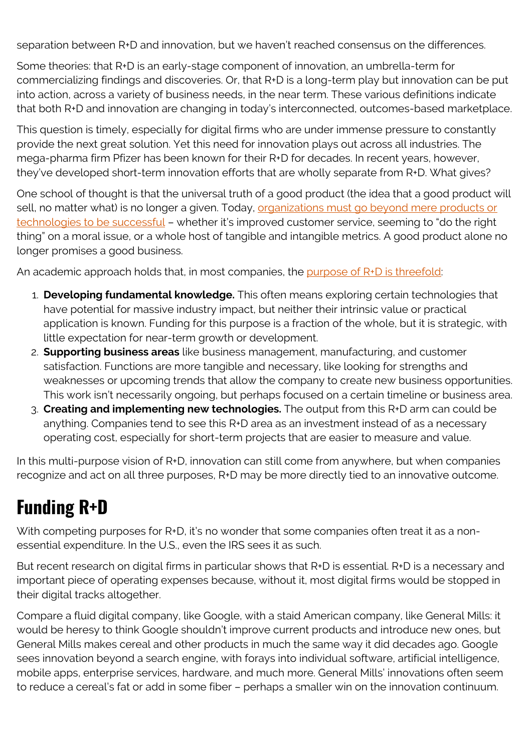separation between R+D and innovation, but we haven't reached consensus on the differences.

Some theories: that R+D is an early-stage component of innovation, an umbrella-term for commercializing findings and discoveries. Or, that R+D is a long-term play but innovation can be put into action, across a variety of business needs, in the near term. These various definitions indicate that both R+D and innovation are changing in today's interconnected, outcomes-based marketplace.

This question is timely, especially for digital firms who are under immense pressure to constantly provide the next great solution. Yet this need for innovation plays out across all industries. The mega-pharma firm Pfizer has been known for their R+D for decades. In recent years, however, they've developed short-term innovation efforts that are wholly separate from R+D. What gives?

One school of thought is that the universal truth of a good product (the idea that a good product will sell, no matter what) is no longer a given. Today, [organizations must go beyond mere products or](https://www.linkedin.com/pulse/what-difference-between-rd-innovation-stefan-lindegaard/) [technologies to be successful](https://www.linkedin.com/pulse/what-difference-between-rd-innovation-stefan-lindegaard/) – whether it's improved customer service, seeming to "do the right thing" on a moral issue, or a whole host of tangible and intangible metrics. A good product alone no longer promises a good business.

An academic approach holds that, in most companies, the [purpose of R+D is threefold:](http://pubs.acs.org/cen/125th/pdf/7913vaughn.txt.pdf)

- 1. **Developing fundamental knowledge.** This often means exploring certain technologies that have potential for massive industry impact, but neither their intrinsic value or practical application is known. Funding for this purpose is a fraction of the whole, but it is strategic, with little expectation for near-term growth or development.
- 2. **Supporting business areas** like business management, manufacturing, and customer satisfaction. Functions are more tangible and necessary, like looking for strengths and weaknesses or upcoming trends that allow the company to create new business opportunities. This work isn't necessarily ongoing, but perhaps focused on a certain timeline or business area.
- 3. **Creating and implementing new technologies.** The output from this R+D arm can could be anything. Companies tend to see this R+D area as an investment instead of as a necessary operating cost, especially for short-term projects that are easier to measure and value.

In this multi-purpose vision of R+D, innovation can still come from anywhere, but when companies recognize and act on all three purposes, R+D may be more directly tied to an innovative outcome.

## **Funding R+D**

With competing purposes for R+D, it's no wonder that some companies often treat it as a nonessential expenditure. In the U.S., even the IRS sees it as such.

But recent research on digital firms in particular shows that R+D is essential. R+D is a necessary and important piece of operating expenses because, without it, most digital firms would be stopped in their digital tracks altogether.

Compare a fluid digital company, like Google, with a staid American company, like General Mills: it would be heresy to think Google shouldn't improve current products and introduce new ones, but General Mills makes cereal and other products in much the same way it did decades ago. Google sees innovation beyond a search engine, with forays into individual software, artificial intelligence, mobile apps, enterprise services, hardware, and much more. General Mills' innovations often seem to reduce a cereal's fat or add in some fiber – perhaps a smaller win on the innovation continuum.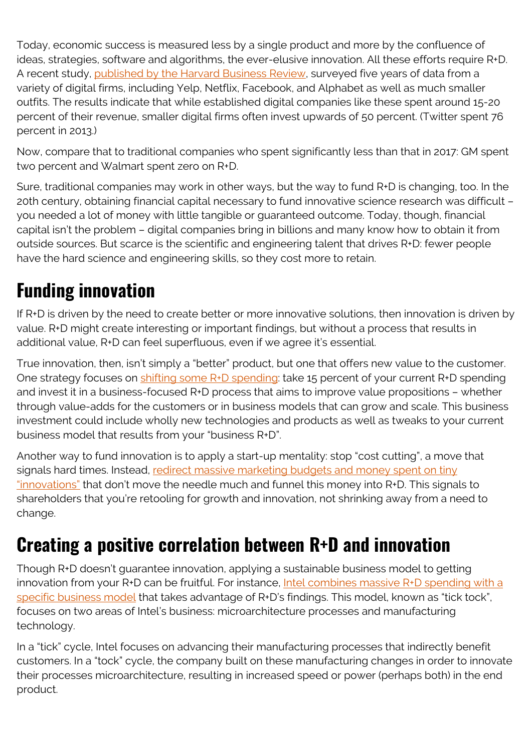Today, economic success is measured less by a single product and more by the confluence of ideas, strategies, software and algorithms, the ever-elusive innovation. All these efforts require R+D. A recent study, [published by the Harvard Business Review](https://hbr.org/2019/01/its-time-to-stop-treating-rd-as-a-discretionary-expenditure), surveyed five years of data from a variety of digital firms, including Yelp, Netflix, Facebook, and Alphabet as well as much smaller outfits. The results indicate that while established digital companies like these spent around 15-20 percent of their revenue, smaller digital firms often invest upwards of 50 percent. (Twitter spent 76 percent in 2013.)

Now, compare that to traditional companies who spent significantly less than that in 2017: GM spent two percent and Walmart spent zero on R+D.

Sure, traditional companies may work in other ways, but the way to fund R+D is changing, too. In the 20th century, obtaining financial capital necessary to fund innovative science research was difficult – you needed a lot of money with little tangible or guaranteed outcome. Today, though, financial capital isn't the problem – digital companies bring in billions and many know how to obtain it from outside sources. But scarce is the scientific and engineering talent that drives R+D: fewer people have the hard science and engineering skills, so they cost more to retain.

### **Funding innovation**

If R+D is driven by the need to create better or more innovative solutions, then innovation is driven by value. R+D might create interesting or important findings, but without a process that results in additional value, R+D can feel superfluous, even if we agree it's essential.

True innovation, then, isn't simply a "better" product, but one that offers new value to the customer. One strategy focuses on [shifting some R+D spending](https://blog.strategyzer.com/posts/2018/4/25/dont-mistake-increased-rd-as-more-innovation): take 15 percent of your current R+D spending and invest it in a business-focused R+D process that aims to improve value propositions – whether through value-adds for the customers or in business models that can grow and scale. This business investment could include wholly new technologies and products as well as tweaks to your current business model that results from your "business R+D".

Another way to fund innovation is to apply a start-up mentality: stop "cost cutting", a move that signals hard times. Instead, [redirect massive marketing budgets and money spent on tiny](https://techcrunch.com/2018/04/23/innovation-can-help-old-consumer-brands-win-customers-and-influence-people/) ["innovations"](https://techcrunch.com/2018/04/23/innovation-can-help-old-consumer-brands-win-customers-and-influence-people/) that don't move the needle much and funnel this money into R+D. This signals to shareholders that you're retooling for growth and innovation, not shrinking away from a need to change.

#### **Creating a positive correlation between R+D and innovation**

Though R+D doesn't guarantee innovation, applying a sustainable business model to getting innovation from your R+D can be fruitful. For instance, [Intel combines massive R+D spending with a](https://www.intel.com/content/www/us/en/silicon-innovations/intel-tick-tock-model-general.html) [specific business model](https://www.intel.com/content/www/us/en/silicon-innovations/intel-tick-tock-model-general.html) that takes advantage of R+D's findings. This model, known as "tick tock", focuses on two areas of Intel's business: microarchitecture processes and manufacturing technology.

In a "tick" cycle, Intel focuses on advancing their manufacturing processes that indirectly benefit customers. In a "tock" cycle, the company built on these manufacturing changes in order to innovate their processes microarchitecture, resulting in increased speed or power (perhaps both) in the end product.